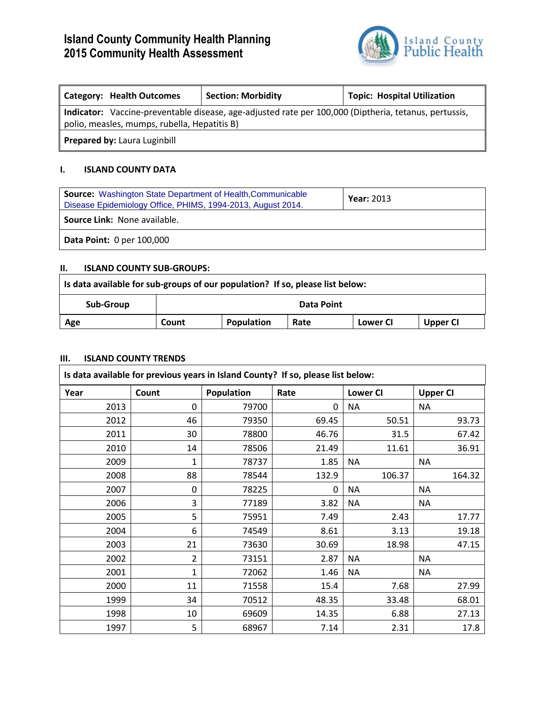# **Island County Community Health Planning 2015 Community Health Assessment**



| <b>Category: Health Outcomes</b>                                                                      | <b>Section: Morbidity</b> | <b>Topic: Hospital Utilization</b> |  |  |  |
|-------------------------------------------------------------------------------------------------------|---------------------------|------------------------------------|--|--|--|
| Indicator: Vaccine-preventable disease, age-adjusted rate per 100,000 (Diptheria, tetanus, pertussis, |                           |                                    |  |  |  |
| polio, measles, mumps, rubella, Hepatitis B)                                                          |                           |                                    |  |  |  |
| Prepared by: Laura Luginbill                                                                          |                           |                                    |  |  |  |

## **I. ISLAND COUNTY DATA**

| <b>Source:</b> Washington State Department of Health, Communicable<br>Disease Epidemiology Office, PHIMS, 1994-2013, August 2014. | <b>Year: 2013</b> |  |  |  |
|-----------------------------------------------------------------------------------------------------------------------------------|-------------------|--|--|--|
| <b>Source Link: None available.</b>                                                                                               |                   |  |  |  |
| <b>Data Point: 0 per 100,000</b>                                                                                                  |                   |  |  |  |

#### **II. ISLAND COUNTY SUB-GROUPS:**

| Is data available for sub-groups of our population? If so, please list below: |            |            |      |          |          |
|-------------------------------------------------------------------------------|------------|------------|------|----------|----------|
| Sub-Group                                                                     | Data Point |            |      |          |          |
| Age                                                                           | Count      | Population | Rate | Lower CI | Upper CI |

#### **III. ISLAND COUNTY TRENDS**

| Is data available for previous years in Island County? If so, please list below: |                |            |          |                 |                 |
|----------------------------------------------------------------------------------|----------------|------------|----------|-----------------|-----------------|
| Year                                                                             | Count          | Population | Rate     | <b>Lower CI</b> | <b>Upper CI</b> |
| 2013                                                                             | $\Omega$       | 79700      | $\Omega$ | <b>NA</b>       | <b>NA</b>       |
| 2012                                                                             | 46             | 79350      | 69.45    | 50.51           | 93.73           |
| 2011                                                                             | 30             | 78800      | 46.76    | 31.5            | 67.42           |
| 2010                                                                             | 14             | 78506      | 21.49    | 11.61           | 36.91           |
| 2009                                                                             | $\mathbf{1}$   | 78737      | 1.85     | <b>NA</b>       | <b>NA</b>       |
| 2008                                                                             | 88             | 78544      | 132.9    | 106.37          | 164.32          |
| 2007                                                                             | 0              | 78225      | $\Omega$ | <b>NA</b>       | <b>NA</b>       |
| 2006                                                                             | 3              | 77189      | 3.82     | <b>NA</b>       | <b>NA</b>       |
| 2005                                                                             | 5              | 75951      | 7.49     | 2.43            | 17.77           |
| 2004                                                                             | 6              | 74549      | 8.61     | 3.13            | 19.18           |
| 2003                                                                             | 21             | 73630      | 30.69    | 18.98           | 47.15           |
| 2002                                                                             | $\overline{2}$ | 73151      | 2.87     | <b>NA</b>       | <b>NA</b>       |
| 2001                                                                             | 1              | 72062      | 1.46     | <b>NA</b>       | <b>NA</b>       |
| 2000                                                                             | 11             | 71558      | 15.4     | 7.68            | 27.99           |
| 1999                                                                             | 34             | 70512      | 48.35    | 33.48           | 68.01           |
| 1998                                                                             | 10             | 69609      | 14.35    | 6.88            | 27.13           |
| 1997                                                                             | 5              | 68967      | 7.14     | 2.31            | 17.8            |